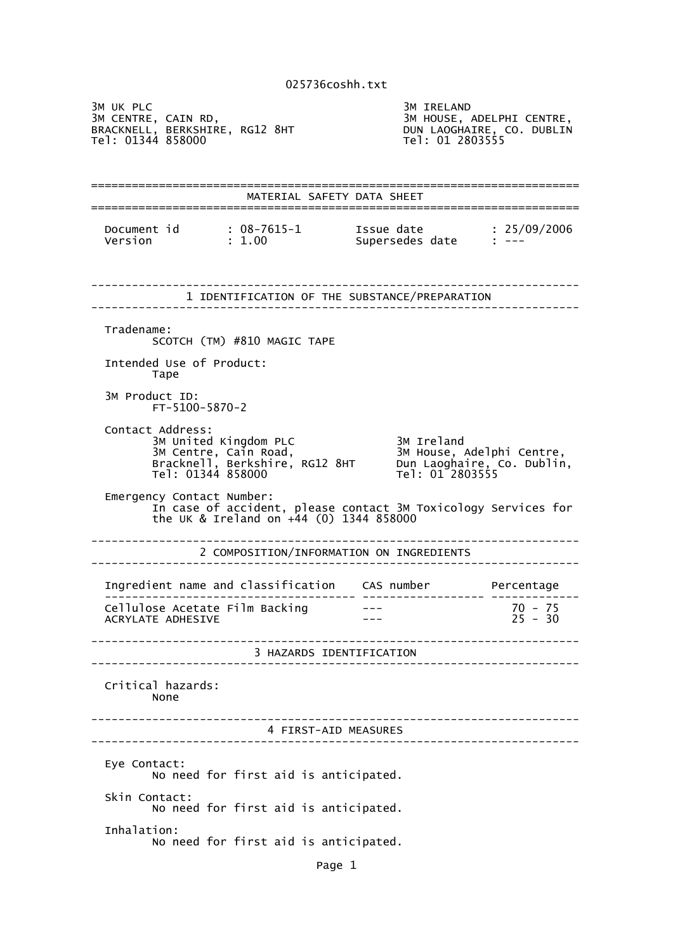3M UK PLC<br>3M CENTRE, CAIN RD, SM SM HOUSE, AND SM HOUSE, A 3M HOUSE, ADELPHI CENTRE,<br>DUN LAOGHAIRE, CO. DUBLIN<br>Tel: 01 2803555 BRACKNELL, BERKSHIRE, RG12 8HT DUN LAOGHAIRE, CO. DUBLIN Tel: 01344 858000 Tel: 01 2803555 ======================================================================== MATERIAL SAFETY DATA SHEET ======================================================================== Document id : 08-7615-1 Issue date : 25/09/2006 Version : 1.00 Supersedes date : --- ------------------------------------------------------------------------ 1 IDENTIFICATION OF THE SUBSTANCE/PREPARATION ------------------------------------------------------------------------ Tradename: SCOTCH (TM) #810 MAGIC TAPE Intended Use of Product: Tape 3M Product ID: FT-5100-5870-2 Contact Address: 3M United Kingdom PLC 3M Ireland 3M Centre, Cain Road, 3M House, Adelphi Centre, Bracknell, Berkshire, RG12 8HT Dun Laoghaire, Co. Dublin, Tel: 01344 858000 Tel: 01 2803555 Emergency Contact Number: In case of accident, please contact 3M Toxicology Services for the UK & Ireland on +44 (0) 1344 858000 ------------------------------------------------------------------------ 2 COMPOSITION/INFORMATION ON INGREDIENTS ------------------------------------------------------------------------ Ingredient name and classification CAS number Percentage ------------------------------------- ------------------ ------------- Cellulose Acetate Film Backing --- 75<br>ACRYLATE ADHESIVE --- 75 -- 75 -- 75 -- 76 -- 76 -- 76 -- 76 -- 76 -- 76 -- 76 -- 76 -- 76 -- 76 -- 77 --- 79 ACRYLATE ADHESIVE ------------------------------------------------------------------------ 3 HAZARDS IDENTIFICATION ------------------------------------------------------------------------ Critical hazards: None ------------------------------------------------------------------------ 4 FIRST-AID MEASURES ------------------------------------------------------------------------ Eye Contact: No need for first aid is anticipated. Skin Contact: No need for first aid is anticipated. Inhalation: No need for first aid is anticipated.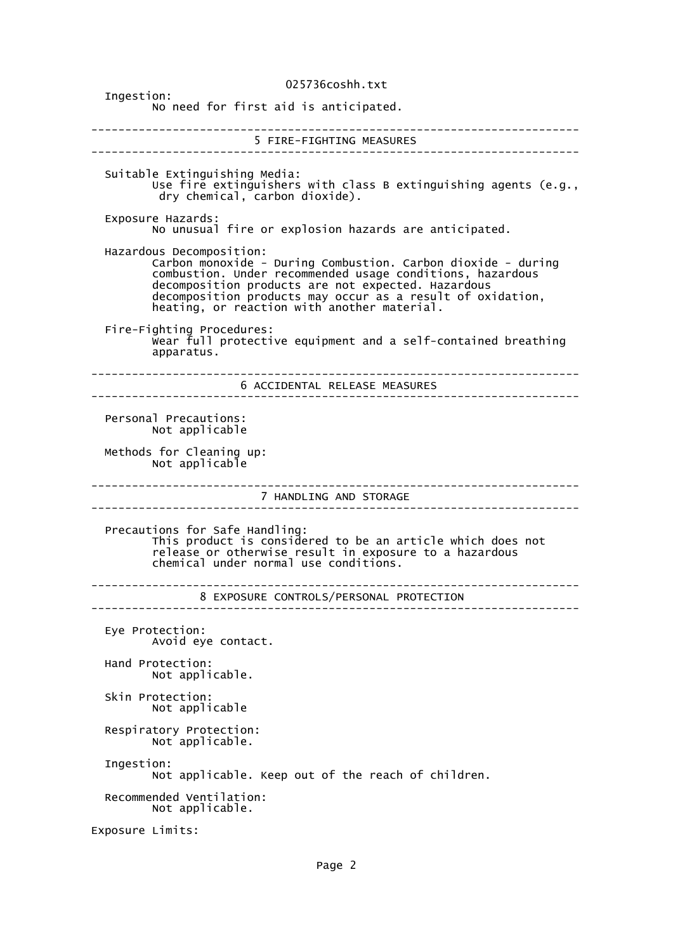025736coshh.txt Ingestion: No need for first aid is anticipated. ------------------------------------------------------------------------ 5 FIRE-FIGHTING MEASURES ------------------------------------------------------------------------ Suitable Extinguishing Media: Use fire extinguishers with class B extinguishing agents (e.g., dry chemical, carbon dioxide). Exposure Hazards: No unusual fire or explosion hazards are anticipated. Hazardous Decomposition: Carbon monoxide - During Combustion. Carbon dioxide - during combustion. Under recommended usage conditions, hazardous decomposition products are not expected. Hazardous decomposition products may occur as a result of oxidation, heating, or reaction with another material. Fire-Fighting Procedures: Wear full protective equipment and a self-contained breathing apparatus. ------------------------------------------------------------------------ 6 ACCIDENTAL RELEASE MEASURES ------------------------------------------------------------------------ Personal Precautions: Not applicable Methods for Cleaning up: Not applicable ------------------------------------------------------------------------ 7 HANDLING AND STORAGE ------------------------------------------------------------------------ Precautions for Safe Handling: This product is considered to be an article which does not release or otherwise result in exposure to a hazardous chemical under normal use conditions. ------------------------------------------------------------------------ 8 EXPOSURE CONTROLS/PERSONAL PROTECTION ------------------------------------------------------------------------ Eye Protection: Avoid eye contact. Hand Protection: Not applicable. Skin Protection: Not applicable Respiratory Protection: Not applicable. Ingestion: Not applicable. Keep out of the reach of children. Recommended Ventilation: Not applicable. Exposure Limits: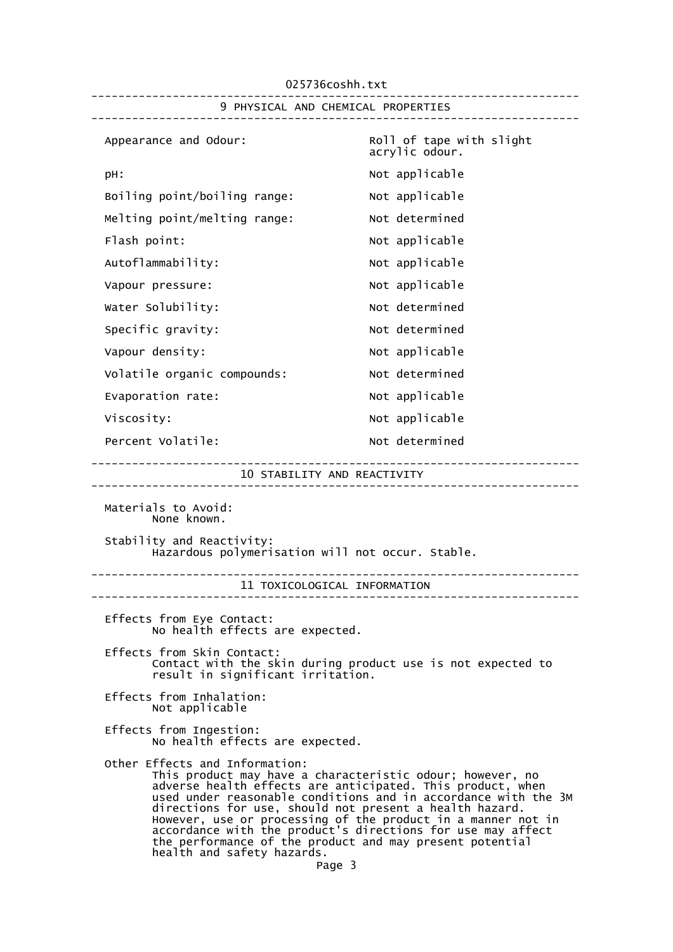025736coshh.txt ------------------------------------------------------------------------ 9 PHYSICAL AND CHEMICAL PROPERTIES ------------------------------------------------------------------------ Appearance and Odour: Roll of tape with slight acrylic odour. pH:  $Not$  applicable Boiling point/boiling range: Not applicable Melting point/melting range: Not determined Flash point: Not applicable Autoflammability: Not applicable Vapour pressure:  $\blacksquare$ Water Solubility: Water Solubility: Specific gravity: Not determined Vapour density:  $V$ Volatile organic compounds: Not determined Evaporation rate: Not applicable Viscosity:  $V = V \cdot V$  Not applicable Percent Volatile: Not determined ------------------------------------------------------------------------ 10 STABILITY AND REACTIVITY ------------------------------------------------------------------------ Materials to Avoid: None known. Stability and Reactivity: Hazardous polymerisation will not occur. Stable. ------------------------------------------------------------------------ 11 TOXICOLOGICAL INFORMATION ------------------------------------------------------------------------ Effects from Eye Contact: No health effects are expected. Effects from Skin Contact: Contact with the skin during product use is not expected to result in significant irritation. Effects from Inhalation: Not applicable Effects from Ingestion: No health effects are expected. Other Effects and Information: This product may have a characteristic odour; however, no adverse health effects are anticipated. This product, when used under reasonable conditions and in accordance with the 3M directions for use, should not present a health hazard. However, use or processing of the product in a manner not in accordance with the product's directions for use may affect the performance of the product and may present potential health and safety hazards. Page 3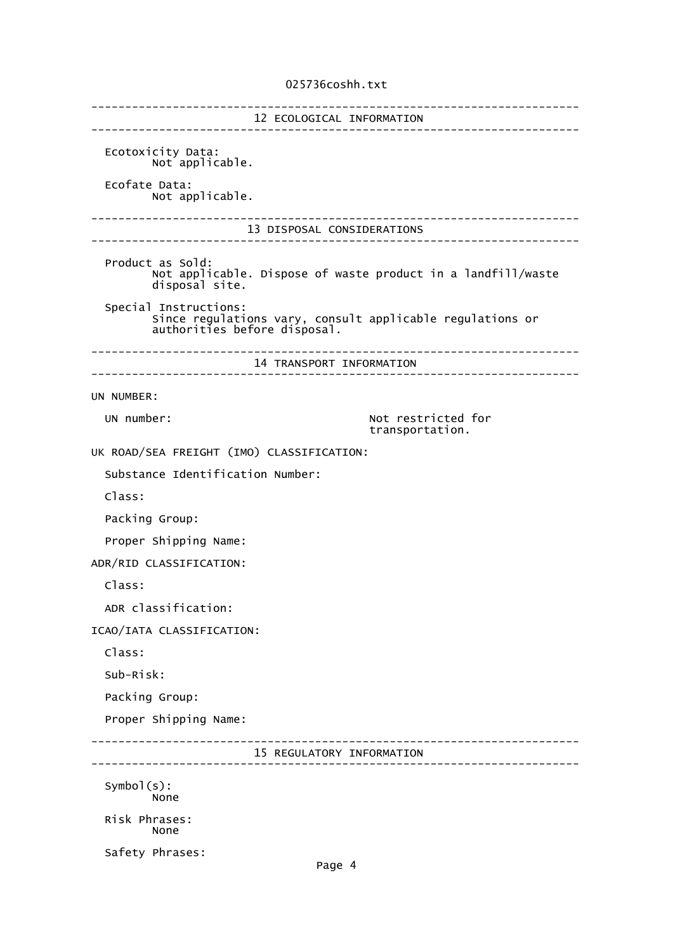## 025736coshh.txt

------------------------------------------------------------------------ 12 ECOLOGICAL INFORMATION ------------------------------------------------------------------------ Ecotoxicity Data: Not applicable. Ecofate Data: Not applicable. ------------------------------------------------------------------------ 13 DISPOSAL CONSIDERATIONS ------------------------------------------------------------------------ Product as Sold: Not applicable. Dispose of waste product in a landfill/waste disposal site. Special Instructions: Since regulations vary, consult applicable regulations or authorities before disposal. ------------------------------------------------------------------------ 14 TRANSPORT INFORMATION ------------------------------------------------------------------------ UN NUMBER: UN number:  $\blacksquare$  Not restricted for transportation. UK ROAD/SEA FREIGHT (IMO) CLASSIFICATION: Substance Identification Number: Class: Packing Group: Proper Shipping Name: ADR/RID CLASSIFICATION: Class: ADR classification: ICAO/IATA CLASSIFICATION: Class: Sub-Risk: Packing Group: Proper Shipping Name: ------------------------------------------------------------------------ 15 REGULATORY INFORMATION ------------------------------------------------------------------------ Symbol(s): None Risk Phrases: None Safety Phrases: